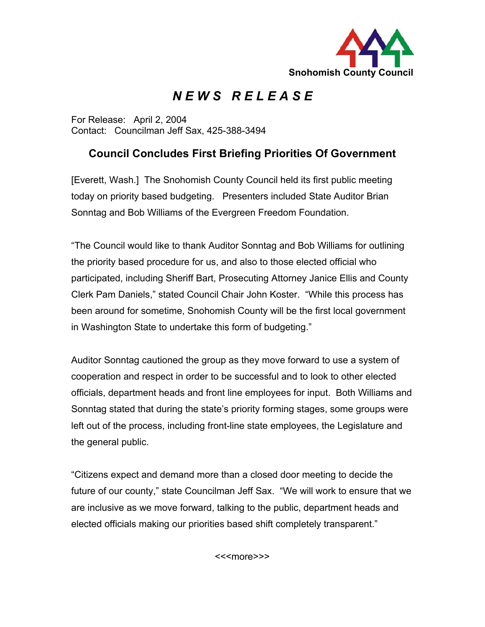

## *N E W S R E L E A S E*

For Release: April 2, 2004 Contact: Councilman Jeff Sax, 425-388-3494

## **Council Concludes First Briefing Priorities Of Government**

[Everett, Wash.] The Snohomish County Council held its first public meeting today on priority based budgeting. Presenters included State Auditor Brian Sonntag and Bob Williams of the Evergreen Freedom Foundation.

"The Council would like to thank Auditor Sonntag and Bob Williams for outlining the priority based procedure for us, and also to those elected official who participated, including Sheriff Bart, Prosecuting Attorney Janice Ellis and County Clerk Pam Daniels," stated Council Chair John Koster. "While this process has been around for sometime, Snohomish County will be the first local government in Washington State to undertake this form of budgeting."

Auditor Sonntag cautioned the group as they move forward to use a system of cooperation and respect in order to be successful and to look to other elected officials, department heads and front line employees for input. Both Williams and Sonntag stated that during the state's priority forming stages, some groups were left out of the process, including front-line state employees, the Legislature and the general public.

"Citizens expect and demand more than a closed door meeting to decide the future of our county," state Councilman Jeff Sax. "We will work to ensure that we are inclusive as we move forward, talking to the public, department heads and elected officials making our priorities based shift completely transparent."